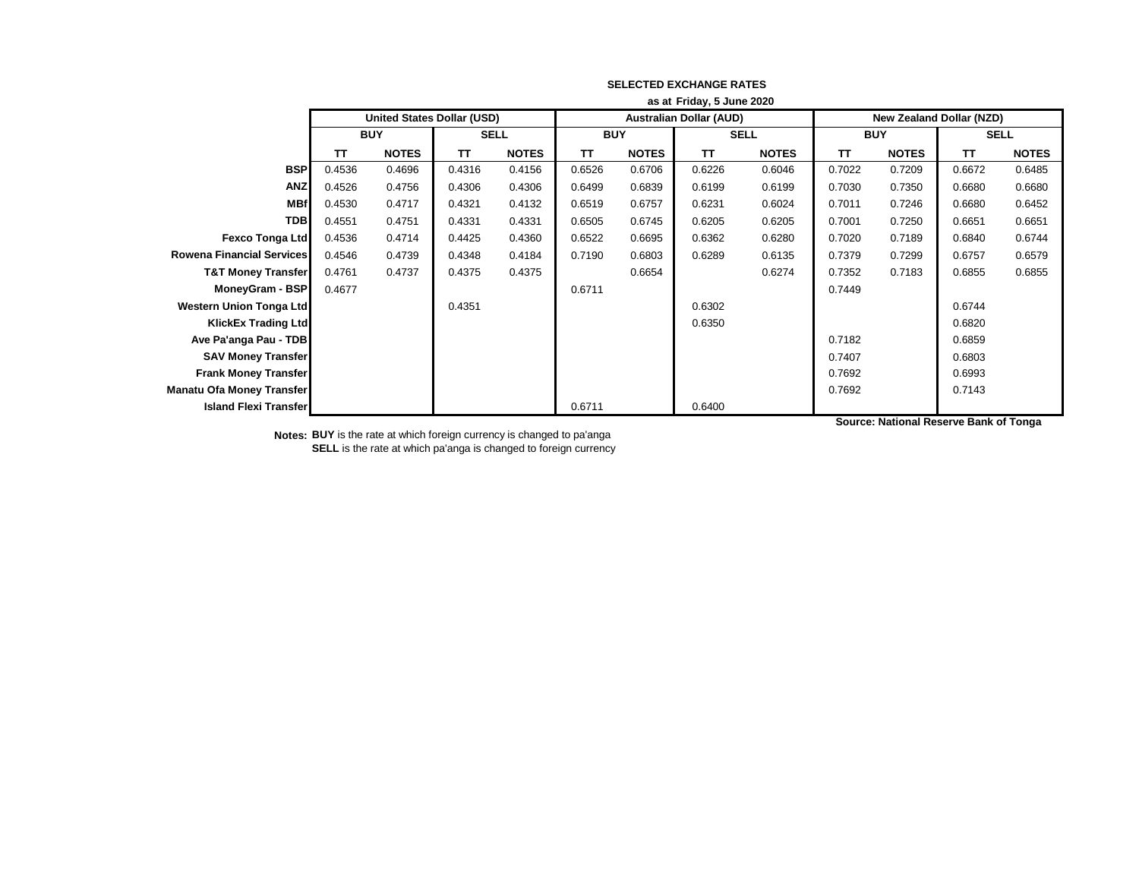|                                  |                           | as at Friday, 5 June 2020         |             |              |                                |              |             |              |                                 |              |             |              |  |
|----------------------------------|---------------------------|-----------------------------------|-------------|--------------|--------------------------------|--------------|-------------|--------------|---------------------------------|--------------|-------------|--------------|--|
|                                  |                           | <b>United States Dollar (USD)</b> |             |              | <b>Australian Dollar (AUD)</b> |              |             |              | <b>New Zealand Dollar (NZD)</b> |              |             |              |  |
|                                  | <b>BUY</b>                |                                   | <b>SELL</b> |              | <b>BUY</b>                     |              | <b>SELL</b> |              | <b>BUY</b>                      |              | <b>SELL</b> |              |  |
|                                  | <b>NOTES</b><br><b>TT</b> |                                   | TΤ          | <b>NOTES</b> | TΤ                             | <b>NOTES</b> | <b>TT</b>   | <b>NOTES</b> | TΤ                              | <b>NOTES</b> | <b>TT</b>   | <b>NOTES</b> |  |
| <b>BSP</b>                       | 0.4536                    | 0.4696                            | 0.4316      | 0.4156       | 0.6526                         | 0.6706       | 0.6226      | 0.6046       | 0.7022                          | 0.7209       | 0.6672      | 0.6485       |  |
| <b>ANZ</b>                       | 0.4526                    | 0.4756                            | 0.4306      | 0.4306       | 0.6499                         | 0.6839       | 0.6199      | 0.6199       | 0.7030                          | 0.7350       | 0.6680      | 0.6680       |  |
| <b>MBf</b>                       | 0.4530                    | 0.4717                            | 0.4321      | 0.4132       | 0.6519                         | 0.6757       | 0.6231      | 0.6024       | 0.7011                          | 0.7246       | 0.6680      | 0.6452       |  |
| <b>TDB</b>                       | 0.4551                    | 0.4751                            | 0.4331      | 0.4331       | 0.6505                         | 0.6745       | 0.6205      | 0.6205       | 0.7001                          | 0.7250       | 0.6651      | 0.6651       |  |
| <b>Fexco Tonga Ltd</b>           | 0.4536                    | 0.4714                            | 0.4425      | 0.4360       | 0.6522                         | 0.6695       | 0.6362      | 0.6280       | 0.7020                          | 0.7189       | 0.6840      | 0.6744       |  |
| <b>Rowena Financial Services</b> | 0.4546                    | 0.4739                            | 0.4348      | 0.4184       | 0.7190                         | 0.6803       | 0.6289      | 0.6135       | 0.7379                          | 0.7299       | 0.6757      | 0.6579       |  |
| <b>T&amp;T Money Transfer</b>    | 0.4761                    | 0.4737                            | 0.4375      | 0.4375       |                                | 0.6654       |             | 0.6274       | 0.7352                          | 0.7183       | 0.6855      | 0.6855       |  |
| MoneyGram - BSP                  | 0.4677                    |                                   |             |              | 0.6711                         |              |             |              | 0.7449                          |              |             |              |  |
| <b>Western Union Tonga Ltd</b>   |                           |                                   | 0.4351      |              |                                |              | 0.6302      |              |                                 |              | 0.6744      |              |  |
| <b>KlickEx Trading Ltd</b>       |                           |                                   |             |              |                                |              | 0.6350      |              |                                 |              | 0.6820      |              |  |
| Ave Pa'anga Pau - TDB            |                           |                                   |             |              |                                |              |             |              | 0.7182                          |              | 0.6859      |              |  |
| <b>SAV Money Transfer</b>        |                           |                                   |             |              |                                |              |             |              | 0.7407                          |              | 0.6803      |              |  |
| <b>Frank Money Transfer</b>      |                           |                                   |             |              |                                |              |             |              | 0.7692                          |              | 0.6993      |              |  |
| Manatu Ofa Money Transfer        |                           |                                   |             |              |                                |              |             |              | 0.7692                          |              | 0.7143      |              |  |
| <b>Island Flexi Transfer</b>     |                           |                                   |             |              | 0.6711                         |              | 0.6400      |              |                                 |              |             |              |  |

**Notes: BUY** is the rate at which foreign currency is changed to pa'anga **SELL** is the rate at which pa'anga is changed to foreign currency **Source: National Reserve Bank of Tonga**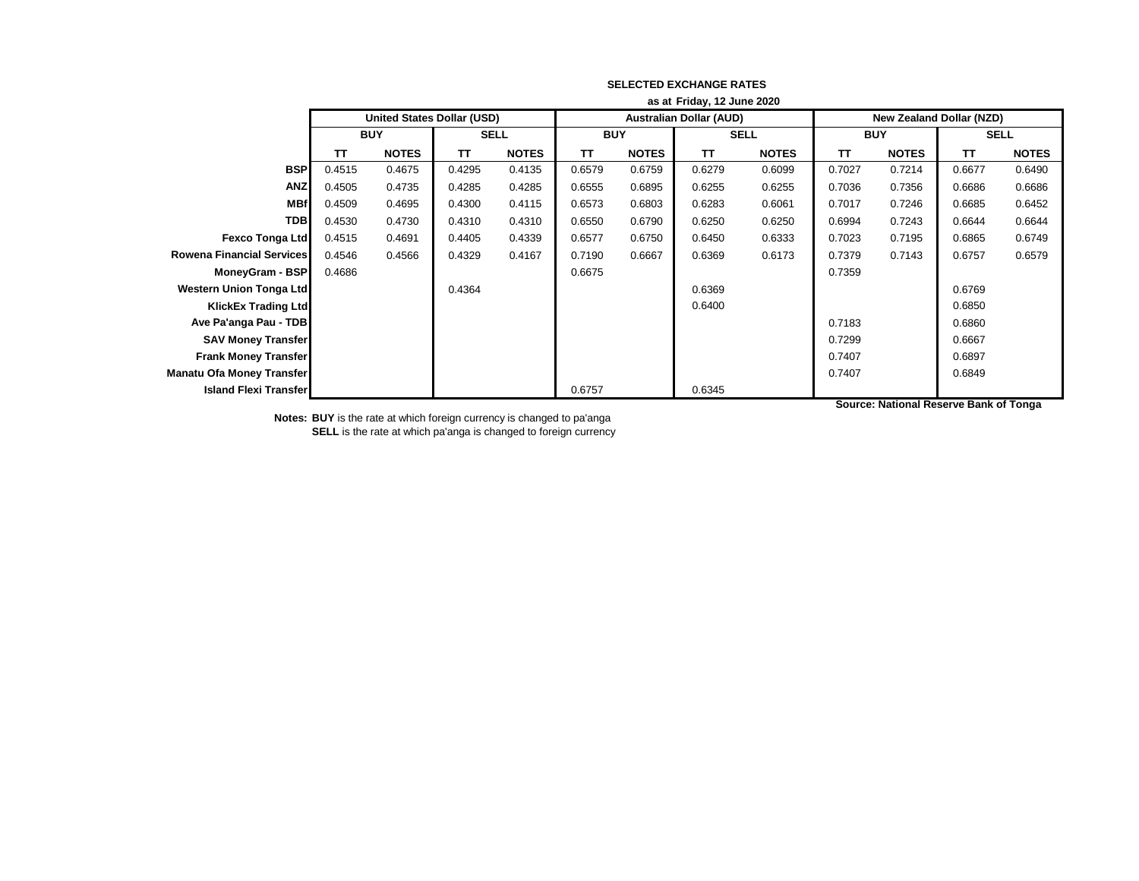|                                  |                    | as at Friday, 12 June 2020        |             |              |                                |              |             |              |                          |              |             |              |  |
|----------------------------------|--------------------|-----------------------------------|-------------|--------------|--------------------------------|--------------|-------------|--------------|--------------------------|--------------|-------------|--------------|--|
|                                  |                    | <b>United States Dollar (USD)</b> |             |              | <b>Australian Dollar (AUD)</b> |              |             |              | New Zealand Dollar (NZD) |              |             |              |  |
|                                  | <b>BUY</b>         |                                   | <b>SELL</b> |              | <b>BUY</b>                     |              | <b>SELL</b> |              | <b>BUY</b>               |              | <b>SELL</b> |              |  |
|                                  | <b>NOTES</b><br>TΤ |                                   | TΤ          | <b>NOTES</b> | TΤ                             | <b>NOTES</b> | <b>TT</b>   | <b>NOTES</b> | TΤ                       | <b>NOTES</b> | <b>TT</b>   | <b>NOTES</b> |  |
| <b>BSP</b>                       | 0.4515             | 0.4675                            | 0.4295      | 0.4135       | 0.6579                         | 0.6759       | 0.6279      | 0.6099       | 0.7027                   | 0.7214       | 0.6677      | 0.6490       |  |
| <b>ANZ</b>                       | 0.4505             | 0.4735                            | 0.4285      | 0.4285       | 0.6555                         | 0.6895       | 0.6255      | 0.6255       | 0.7036                   | 0.7356       | 0.6686      | 0.6686       |  |
| <b>MBf</b>                       | 0.4509             | 0.4695                            | 0.4300      | 0.4115       | 0.6573                         | 0.6803       | 0.6283      | 0.6061       | 0.7017                   | 0.7246       | 0.6685      | 0.6452       |  |
| <b>TDB</b>                       | 0.4530             | 0.4730                            | 0.4310      | 0.4310       | 0.6550                         | 0.6790       | 0.6250      | 0.6250       | 0.6994                   | 0.7243       | 0.6644      | 0.6644       |  |
| <b>Fexco Tonga Ltd</b>           | 0.4515             | 0.4691                            | 0.4405      | 0.4339       | 0.6577                         | 0.6750       | 0.6450      | 0.6333       | 0.7023                   | 0.7195       | 0.6865      | 0.6749       |  |
| <b>Rowena Financial Services</b> | 0.4546             | 0.4566                            | 0.4329      | 0.4167       | 0.7190                         | 0.6667       | 0.6369      | 0.6173       | 0.7379                   | 0.7143       | 0.6757      | 0.6579       |  |
| MoneyGram - BSP                  | 0.4686             |                                   |             |              | 0.6675                         |              |             |              | 0.7359                   |              |             |              |  |
| Western Union Tonga Ltd          |                    |                                   | 0.4364      |              |                                |              | 0.6369      |              |                          |              | 0.6769      |              |  |
| <b>KlickEx Trading Ltd</b>       |                    |                                   |             |              |                                |              | 0.6400      |              |                          |              | 0.6850      |              |  |
| Ave Pa'anga Pau - TDB            |                    |                                   |             |              |                                |              |             |              | 0.7183                   |              | 0.6860      |              |  |
| <b>SAV Money Transfer</b>        |                    |                                   |             |              |                                |              |             |              | 0.7299                   |              | 0.6667      |              |  |
| <b>Frank Money Transfer</b>      |                    |                                   |             |              |                                |              |             |              | 0.7407                   |              | 0.6897      |              |  |
| <b>Manatu Ofa Money Transfer</b> |                    |                                   |             |              |                                |              |             |              | 0.7407                   |              | 0.6849      |              |  |
| <b>Island Flexi Transfer</b>     |                    |                                   |             |              | 0.6757                         |              | 0.6345      |              |                          |              |             |              |  |

**Notes: BUY** is the rate at which foreign currency is changed to pa'anga **SELL** is the rate at which pa'anga is changed to foreign currency **Source: National Reserve Bank of Tonga**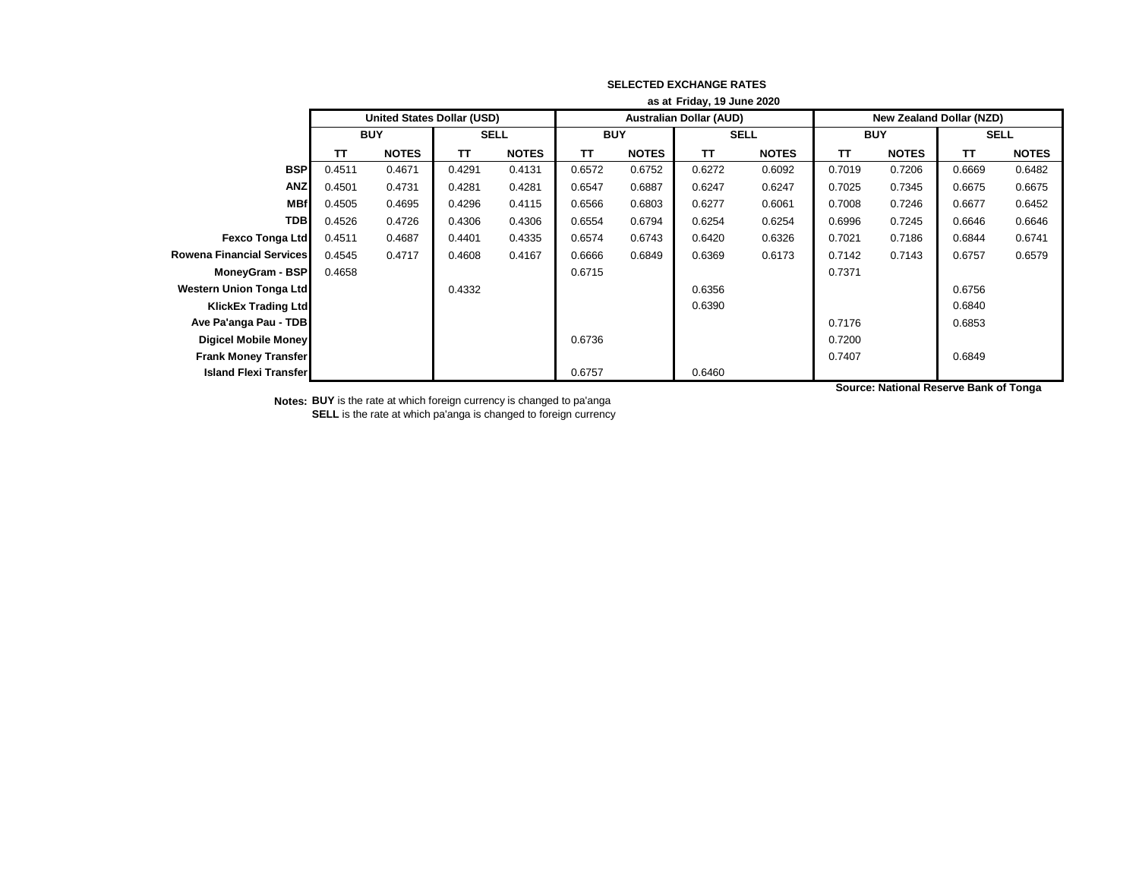|                                  |        | as at Friday, 19 June 2020        |             |              |                                |              |             |              |                          |              |             |              |
|----------------------------------|--------|-----------------------------------|-------------|--------------|--------------------------------|--------------|-------------|--------------|--------------------------|--------------|-------------|--------------|
|                                  |        | <b>United States Dollar (USD)</b> |             |              | <b>Australian Dollar (AUD)</b> |              |             |              | New Zealand Dollar (NZD) |              |             |              |
|                                  |        | <b>BUY</b>                        | <b>SELL</b> |              | <b>BUY</b>                     |              | <b>SELL</b> |              | <b>BUY</b>               |              | <b>SELL</b> |              |
|                                  | TΤ     | <b>NOTES</b>                      | TΤ          | <b>NOTES</b> | TΤ                             | <b>NOTES</b> | <b>TT</b>   | <b>NOTES</b> | TΤ                       | <b>NOTES</b> | <b>TT</b>   | <b>NOTES</b> |
| <b>BSP</b>                       | 0.4511 | 0.4671                            | 0.4291      | 0.4131       | 0.6572                         | 0.6752       | 0.6272      | 0.6092       | 0.7019                   | 0.7206       | 0.6669      | 0.6482       |
| <b>ANZ</b>                       | 0.4501 | 0.4731                            | 0.4281      | 0.4281       | 0.6547                         | 0.6887       | 0.6247      | 0.6247       | 0.7025                   | 0.7345       | 0.6675      | 0.6675       |
| <b>MBf</b>                       | 0.4505 | 0.4695                            | 0.4296      | 0.4115       | 0.6566                         | 0.6803       | 0.6277      | 0.6061       | 0.7008                   | 0.7246       | 0.6677      | 0.6452       |
| <b>TDB</b>                       | 0.4526 | 0.4726                            | 0.4306      | 0.4306       | 0.6554                         | 0.6794       | 0.6254      | 0.6254       | 0.6996                   | 0.7245       | 0.6646      | 0.6646       |
| <b>Fexco Tonga Ltd</b>           | 0.4511 | 0.4687                            | 0.4401      | 0.4335       | 0.6574                         | 0.6743       | 0.6420      | 0.6326       | 0.7021                   | 0.7186       | 0.6844      | 0.6741       |
| <b>Rowena Financial Services</b> | 0.4545 | 0.4717                            | 0.4608      | 0.4167       | 0.6666                         | 0.6849       | 0.6369      | 0.6173       | 0.7142                   | 0.7143       | 0.6757      | 0.6579       |
| MoneyGram - BSP                  | 0.4658 |                                   |             |              | 0.6715                         |              |             |              | 0.7371                   |              |             |              |
| <b>Western Union Tonga Ltd</b>   |        |                                   | 0.4332      |              |                                |              | 0.6356      |              |                          |              | 0.6756      |              |
| <b>KlickEx Trading Ltd</b>       |        |                                   |             |              |                                |              | 0.6390      |              |                          |              | 0.6840      |              |
| Ave Pa'anga Pau - TDB            |        |                                   |             |              |                                |              |             |              | 0.7176                   |              | 0.6853      |              |
| Digicel Mobile Money             |        |                                   |             |              | 0.6736                         |              |             |              | 0.7200                   |              |             |              |
| <b>Frank Money Transfer</b>      |        |                                   |             |              |                                |              |             |              | 0.7407                   |              | 0.6849      |              |
| <b>Island Flexi Transfer</b>     |        |                                   |             |              | 0.6757                         |              | 0.6460      |              |                          |              |             |              |

**Notes: BUY** is the rate at which foreign currency is changed to pa'anga **SELL** is the rate at which pa'anga is changed to foreign currency **Source: National Reserve Bank of Tonga**